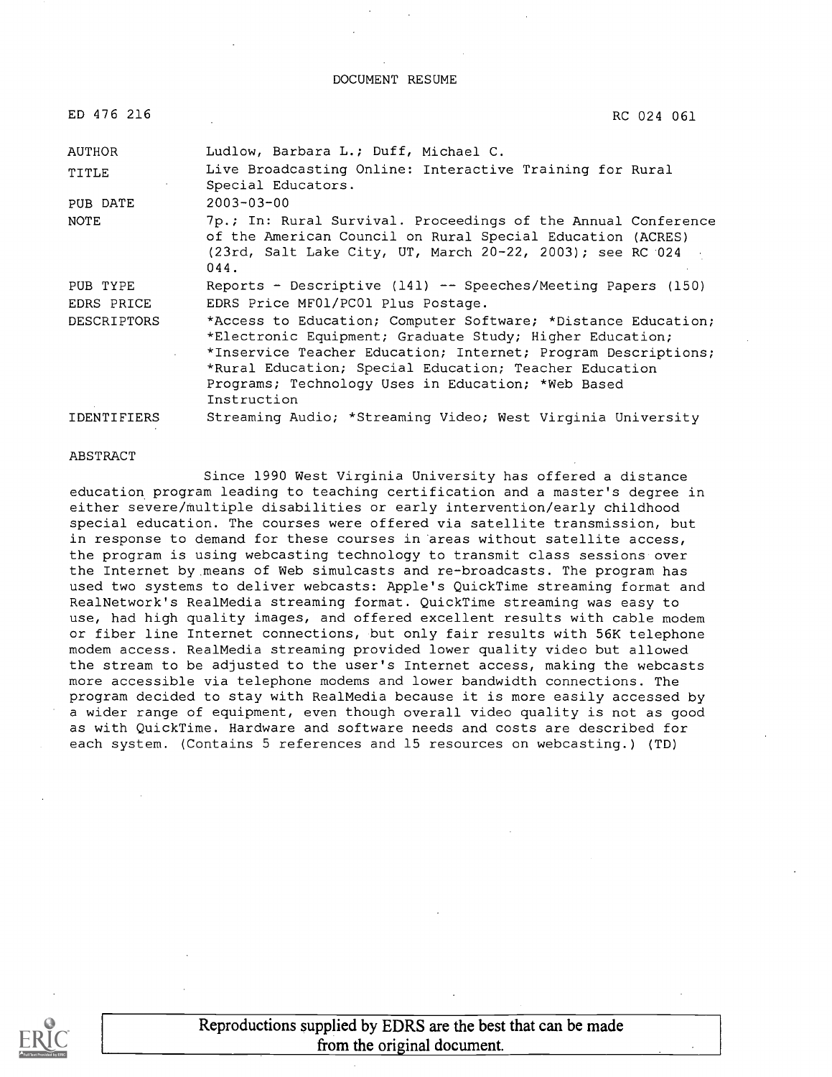DOCUMENT RESUME

| ED 476 216         | RC 024 061                                                                                                                                                                                                                                                                                                                |
|--------------------|---------------------------------------------------------------------------------------------------------------------------------------------------------------------------------------------------------------------------------------------------------------------------------------------------------------------------|
| AUTHOR             | Ludlow, Barbara L.; Duff, Michael C.                                                                                                                                                                                                                                                                                      |
| TITLE              | Live Broadcasting Online: Interactive Training for Rural<br>Special Educators.                                                                                                                                                                                                                                            |
| PUB DATE           | $2003 - 03 - 00$                                                                                                                                                                                                                                                                                                          |
| <b>NOTE</b>        | 7p.; In: Rural Survival. Proceedings of the Annual Conference<br>of the American Council on Rural Special Education (ACRES)<br>$(23rd,$ Salt Lake City, UT, March $20-22$ , $2003$ ); see RC 024<br>044.                                                                                                                  |
| PUB TYPE           | Reports - Descriptive (141) -- Speeches/Meeting Papers (150)                                                                                                                                                                                                                                                              |
| EDRS PRICE         | EDRS Price MF01/PC01 Plus Postage.                                                                                                                                                                                                                                                                                        |
| <b>DESCRIPTORS</b> | *Access to Education; Computer Software; *Distance Education;<br>*Electronic Equipment; Graduate Study; Higher Education;<br>*Inservice Teacher Education; Internet; Program Descriptions;<br>*Rural Education; Special Education; Teacher Education<br>Programs; Technology Uses in Education; *Web Based<br>Instruction |
| <b>IDENTIFIERS</b> | Streaming Audio; *Streaming Video; West Virginia University                                                                                                                                                                                                                                                               |

#### ABSTRACT

Since 1990 West Virginia University has offered a distance education program leading to teaching certification and a master's degree in either severe/multiple disabilities or early intervention/early childhood special education. The courses were offered via satellite transmission, but in response to demand for these courses in areas without satellite access, the program is using webcasting technology to transmit class sessions over the Internet by means of Web simulcasts and re-broadcasts. The program has used two systems to deliver webcasts: Apple's QuickTime streaming format and RealNetwork's RealMedia streaming format. QuickTime streaming was easy to use, had high quality images, and offered excellent results with cable modem or fiber line Internet connections, but only fair results with 56K telephone modem access. RealMedia streaming provided lower quality video but allowed the stream to be adjusted to the user's Internet access, making the webcasts more accessible via telephone modems and lower bandwidth connections. The program decided to stay with RealMedia because it is more easily accessed by a wider range of equipment, even though overall video quality is not as good as with QuickTime. Hardware and software needs and costs are described for each system. (Contains 5 references and 15 resources on webcasting.) (TD)

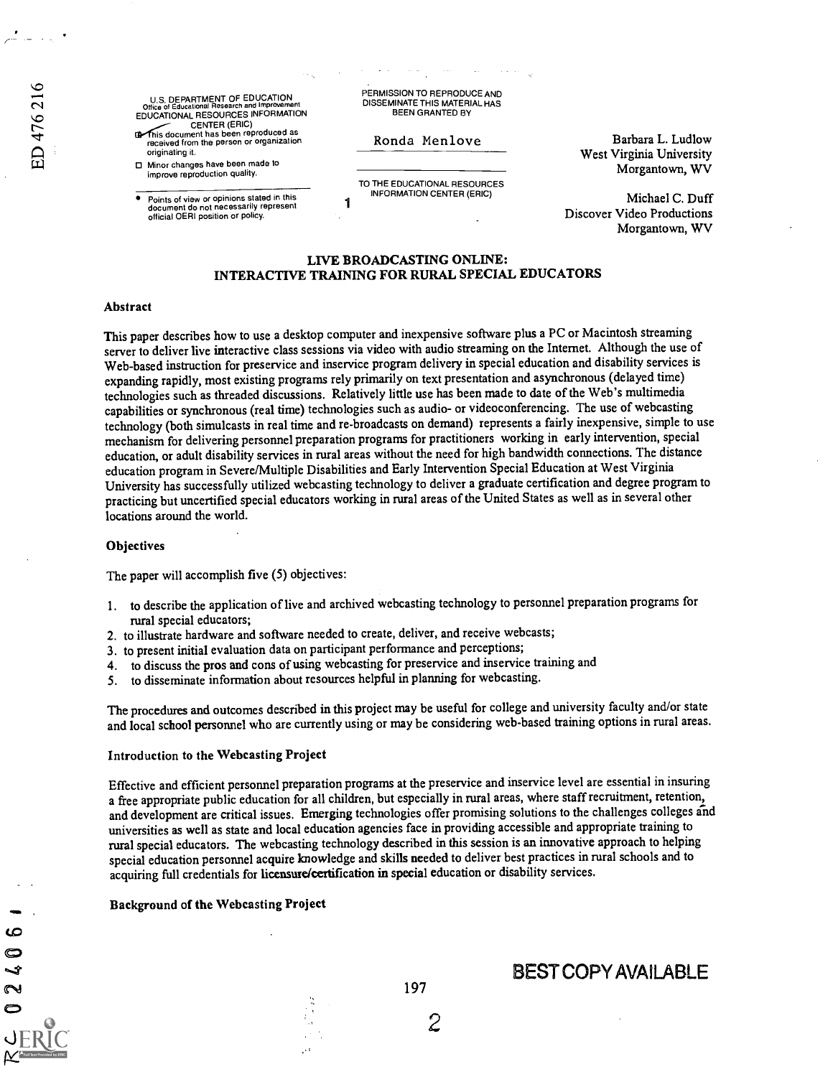ιO

L.  $\sim$ 

U.S. DEPARTMENT OF EDUCATION Office of Educational Research and Improvement EDUCATIONAL RESOURCES INFORMATION CENTER (ERIC)

This document has been reproduced as received from the person or organization originating it.

Minor changes have been made to improve reproduction quality.

**Points of view or opinions stated in this** document do not necessarily represent official OERI position or policy. PERMISSION TO REPRODUCE AND DISSEMINATE THIS MATERIAL HAS BEEN GRANTED BY

### Ronda Menlove

TO THE EDUCATIONAL RESOURCES INFORMATION CENTER (ERIC)

Barbara L. Ludlow West Virginia University Morgantown, WV

Michael C. Duff Discover Video Productions Morgantown, WV

## LIVE BROADCASTING ONLINE: INTERACTIVE TRAINING FOR RURAL SPECIAL EDUCATORS

1

#### Abstract

This paper describes how to use a desktop computer and inexpensive software plus a PC or Macintosh streaming server to deliver live interactive class sessions via video with audio streaming on the Internet. Although the use of Web-based instruction for preservice and inservice program delivery in special education and disability services is expanding rapidly, most existing programs rely primarily on text presentation and asynchronous (delayed time) technologies such as threaded discussions. Relatively little use has been made to date of the Web's multimedia capabilities or synchronous (real time) technologies such as audio- or videoconferencing. The use of webcasting technology (both simulcasts in real time and re-broadcasts on demand) represents a fairly inexpensive, simple to use mechanism for delivering personnel preparation programs for practitioners working in early intervention, special education, or adult disability services in rural areas without the need for high bandwidth connections. The distance education program in Severe/Multiple Disabilities and Early Intervention Special Education at West Virginia University has successfully utilized webcasting technology to deliver a graduate certification and degree program to practicing but uncertified special educators working in rural areas of the United States as well as in several other locations around the world.

#### **Objectives**

The paper will accomplish five (5) objectives:

- 1. to describe the application of live and archived webcasting technology to personnel preparation programs for rural special educators;
- 2. to illustrate hardware and software needed to create, deliver, and receive webcasts;
- 3. to present initial evaluation data on participant performance and perceptions;
- 4. to discuss the pros and cons of using webcasting for preservice and inservice training and
- 5. to disseminate information about resources helpful in planning for webcasting.

The procedures and outcomes described in this project may be useful for college and university faculty and/or state and local school personnel who are currently using or may be considering web-based training options in rural areas.

### Introduction to the Webcasting Project

Effective and efficient personnel preparation programs at the preservice and inservice level are essential in insuring a free appropriate public education for all children, but especially in rural areas, where staff recruitment, retention, and development are critical issues. Emerging technologies offer promising solutions to the challenges colleges and universities as well as state and local education agencies face in providing accessible and appropriate training to rural special educators. The webcasting technology described in this session is an innovative approach to helping special education personnel acquire knowledge and skills needed to deliver best practices in rural schools and to acquiring full credentials for licensure/certification in special education or disability services.

### Background of the Webcasting Project

BEST COPY AVAILABLE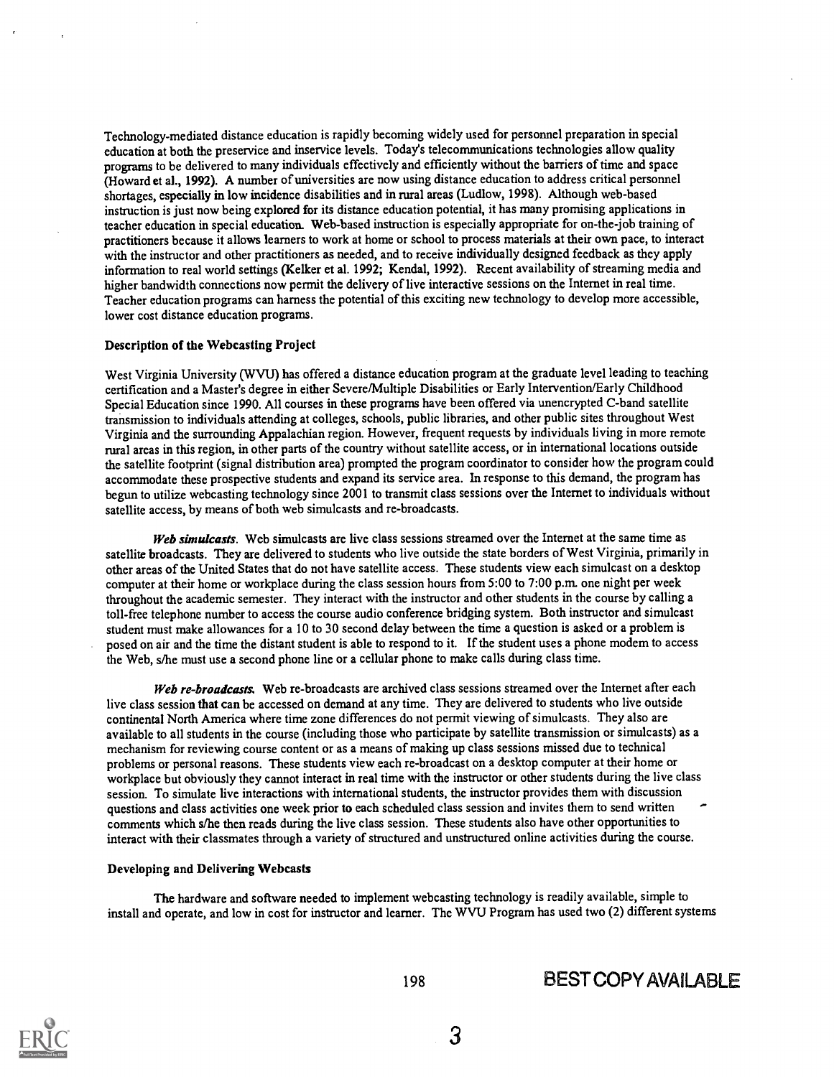Technology-mediated distance education is rapidly becoming widely used for personnel preparation in special education at both the preservice and inservice levels. Today's telecommunications technologies allow quality programs to be delivered to many individuals effectively and efficiently without the barriers of time and space (Howard et al., 1992). A number of universities are now using distance education to address critical personnel shortages, especially in low incidence disabilities and in rural areas (Ludlow, 1998). Although web-based instruction is just now being explored for its distance education potential, it has many promising applications in teacher education in special education. Web-based instruction is especially appropriate for on-the-job training of practitioners because it allows learners to work at home or school to process materials at their own pace, to interact with the instructor and other practitioners as needed, and to receive individually designed feedback as they apply information to real world settings (Kelker et al. 1992; Kendal, 1992). Recent availability of streaming media and higher bandwidth connections now permit the delivery of live interactive sessions on the Internet in real time. Teacher education programs can harness the potential of this exciting new technology to develop more accessible, lower cost distance education programs.

#### Description of the Webcasting Project

West Virginia University (WVU) has offered a distance education program at the graduate level leading to teaching certification and a Master's degree in either Severe/Multiple Disabilities or Early Intervention/Early Childhood Special Education since 1990. All courses in these programs have been offered via unencrypted C-band satellite transmission to individuals attending at colleges, schools, public libraries, and other public sites throughout West Virginia and the surrounding Appalachian region. However, frequent requests by individuals living in more remote rural areas in this region, in other parts of the country without satellite access, or in international locations outside the satellite footprint (signal distribution area) prompted the program coordinator to consider how the program could accommodate these prospective students and expand its service area. In response to this demand, the program has begun to utilize webcasting technology since 2001 to transmit class sessions over the Internet to individuals without satellite access, by means of both web simulcasts and re-broadcasts.

Web simulcasts. Web simulcasts are live class sessions streamed over the Internet at the same time as satellite broadcasts. They are delivered to students who live outside the state borders of West Virginia, primarily in other areas of the United States that do not have satellite access. These students view each simulcast on a desktop computer at their home or workplace during the class session hours from 5:00 to 7:00 p.m. one night per week throughout the academic semester. They interact with the instructor and other students in the course by calling a toll-free telephone number to access the course audio conference bridging system. Both instructor and simulcast student must make allowances for a 10 to 30 second delay between the time a question is asked or a problem is posed on air and the time the distant student is able to respond to it. If the student uses a phone modem to access the Web, s/he must use a second phone line or a cellular phone to make calls during class time.

Web re-broadcasts. Web re-broadcasts are archived class sessions streamed over the Internet after each live class session that can be accessed on demand at any time. They are delivered to students who live outside continental North America where time zone differences do not permit viewing of simulcasts. They also are available to all students in the course (including those who participate by satellite transmission or simulcasts) as a mechanism for reviewing course content or as a means of making up class sessions missed due to technical problems or personal reasons. These students view each re-broadcast on a desktop computer at their home or workplace but obviously they cannot interact in real time with the instructor or other students during the live class session. To simulate live interactions with international students, the instructor provides them with discussion questions and class activities one week prior to each scheduled class session and invites them to send written comments which s/he then reads during the live class session. These students also have other opportunities to interact with their classmates through a variety of structured and unstructured online activities during the course.

#### Developing and Delivering Webcasts

The hardware and software needed to implement webcasting technology is readily available, simple to install and operate, and low in cost for instructor and learner. The WVU Program has used two (2) different systems

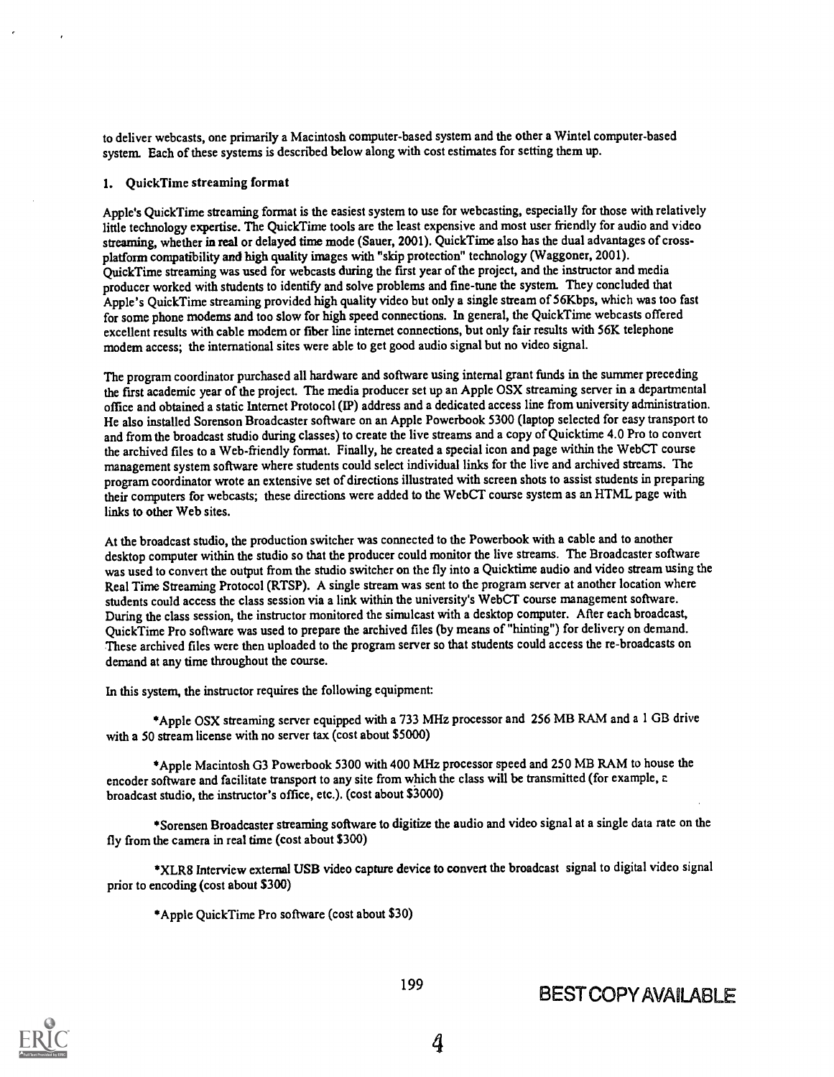to deliver webcasts, one primarily a Macintosh computer-based system and the other a Wintel computer-based system. Each of these systems is described below along with cost estimates for setting them up.

## 1. QuickTime streaming format

Apple's QuickTime streaming format is the easiest system to use for webcasting, especially for those with relatively little technology expertise. The QuickTime tools are the least expensive and most user friendly for audio and video streaming, whether in real or delayed time mode (Sauer, 2001). QuickTime also has the dual advantages of crossplatform compatibility and high quality images with "skip protection" technology (Waggoner, 2001). QuickTime streaming was used for webcasts during the first year of the project, and the instructor and media producer worked with students to identify and solve problems and fine-tune the system. They concluded that Apple's QuickTime streaming provided high quality video but only a single stream of 56Kbps, which was too fast for some phone modems and too slow for high speed connections. In general, the QuickTime webcasts offered excellent results with cable modem or fiber line intemet connections, but only fair results with 56K telephone modem access; the international sites were able to get good audio signal but no video signal.

The program coordinator purchased all hardware and software using internal grant funds in the summer preceding the first academic year of the project. The media producer set up an Apple OSX streaming server in a departmental office and obtained a static Internet Protocol (IP) address and a dedicated access line from university administration. He also installed Sorenson Broadcaster software on an Apple Powerbook 5300 (laptop selected for easy transport to and from the broadcast studio during classes) to create the live streams and a copy of Quicktime 4.0 Pro to convert the archived files to a Web-friendly format. Finally, he created a special icon and page within the WebCT course management system software where students could select individual links for the live and archived streams. The program coordinator wrote an extensive set of directions illustrated with screen shots to assist students in preparing their computers for webcasts; these directions were added to the WebCT course system as an HTML page with links to other Web sites.

At the broadcast studio, the production switcher was connected to the Powerbook with a cable and to another desktop computer within the studio so that the producer could monitor the live streams. The Broadcaster software was used to convert the output from the studio switcher on the fly into a Quicktime audio and video stream using the Real Time Streaming Protocol (RTSP). A single stream was sent to the program server at another location where students could access the class session via a link within the university's WebCT course management software. During the class session, the instructor monitored the simulcast with a desktop computer. After each broadcast, QuickTime Pro software was used to prepare the archived files (by means of "hinting") for delivery on demand. These archived files were then uploaded to the program server so that students could access the re-broadcasts on demand at any time throughout the course.

In this system, the instructor requires the following equipment:

\*Apple OSX streaming server equipped with a 733 MHz processor and 256 MB RAM and a 1 GB drive with a 50 stream license with no server tax (cost about \$5000)

\*Apple Macintosh G3 Powerbook 5300 with 400 MHz processor speed and 250 MB RAM to house the encoder software and facilitate transport to any site from which the class will be transmitted (for example, z broadcast studio, the instructor's office, etc.). (cost about \$3000)

\*Sorensen Broadcaster streaming software to digitize the audio and video signal at a single data rate on the fly from the camera in real time (cost about \$300)

\*XLR8 Interview external USB video capture device to convert the broadcast signal to digital video signal prior to encoding (cost about \$300)

\*Apple QuickTime Pro software (cost about \$30)

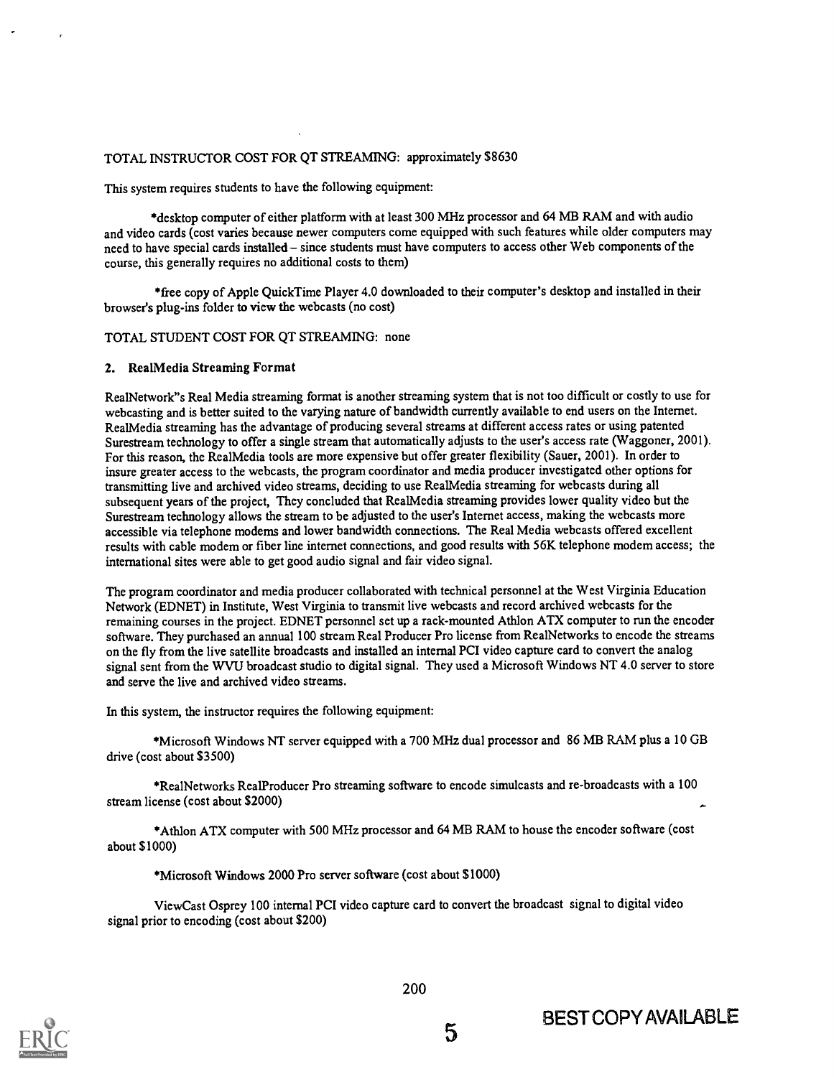## TOTAL INSTRUCTOR COST FOR QT STREAMING: approximately \$8630

This system requires students to have the following equipment:

\*desktop computer of either platform with at least 300 MHz processor and 64 MB RAM and with audio and video cards (cost varies because newer computers come equipped with such features while older computers may need to have special cards installed - since students must have computers to access other Web components of the course, this generally requires no additional costs to them)

\*free copy of Apple QuickTime Player 4.0 downloaded to their computer's desktop and installed in their browser's plug-ins folder to view the webcasts (no cost)

### TOTAL STUDENT COST FOR QT STREAMING: none

## 2. RealMedia Streaming Format

RealNetwork"s Real Media streaming format is another streaming system that is not too difficult or costly to use for webcasting and is better suited to the varying nature of bandwidth currently available to end users on the Internet. RealMedia streaming has the advantage of producing several streams at different access rates or using patented Surestream technology to offer a single stream that automatically adjusts to the user's access rate (Waggoner, 2001). For this reason, the RealMedia tools are more expensive but offer greater flexibility (Sauer, 2001). In order to insure greater access to the webcasts, the program coordinator and media producer investigated other options for transmitting live and archived video streams, deciding to use RealMedia streaming for webcasts during all subsequent years of the project, They concluded that RealMedia streaming provides lower quality video but the Surestream technology allows the stream to be adjusted to the user's Internet access, making the webcasts more accessible via telephone modems and lower bandwidth connections. The Real Media webcasts offered excellent results with cable modem or fiber line internet connections, and good results with 56K telephone modem access; the international sites were able to get good audio signal and fair video signal.

The program coordinator and media producer collaborated with technical personnel at the West Virginia Education Network (EDNET) in Institute, West Virginia to transmit live webcasts and record archived webcasts for the remaining courses in the project. EDNET personnel set up a rack-mounted Athlon ATX computer to run the encoder software. They purchased an annual 100 stream Real Producer Pro license from RealNetworks to encode the streams on the fly from the live satellite broadcasts and installed an internal PCI video capture card to convert the analog signal sent from the WVU broadcast studio to digital signal. They used a Microsoft Windows NT 4.0 server to store and serve the live and archived video streams.

In this system, the instructor requires the following equipment:

\*Microsoft Windows NT server equipped with a 700 MHz dual processor and 86 MB RAM plus a 10 GB drive (cost about \$3500)

\*RealNetworks RealProducer Pro streaming software to encode simulcasts and re-broadcasts with a 100 stream license (cost about \$2000)

\*Athlon ATX computer with 500 MHz processor and 64 MB RAM to house the encoder software (cost about \$1000)

# \*Microsoft Windows 2000 Pro server software (cost about \$1000)

ViewCast Osprey 100 internal PCI video capture card to convert the broadcast signal to digital video signal prior to encoding (cost about \$200)

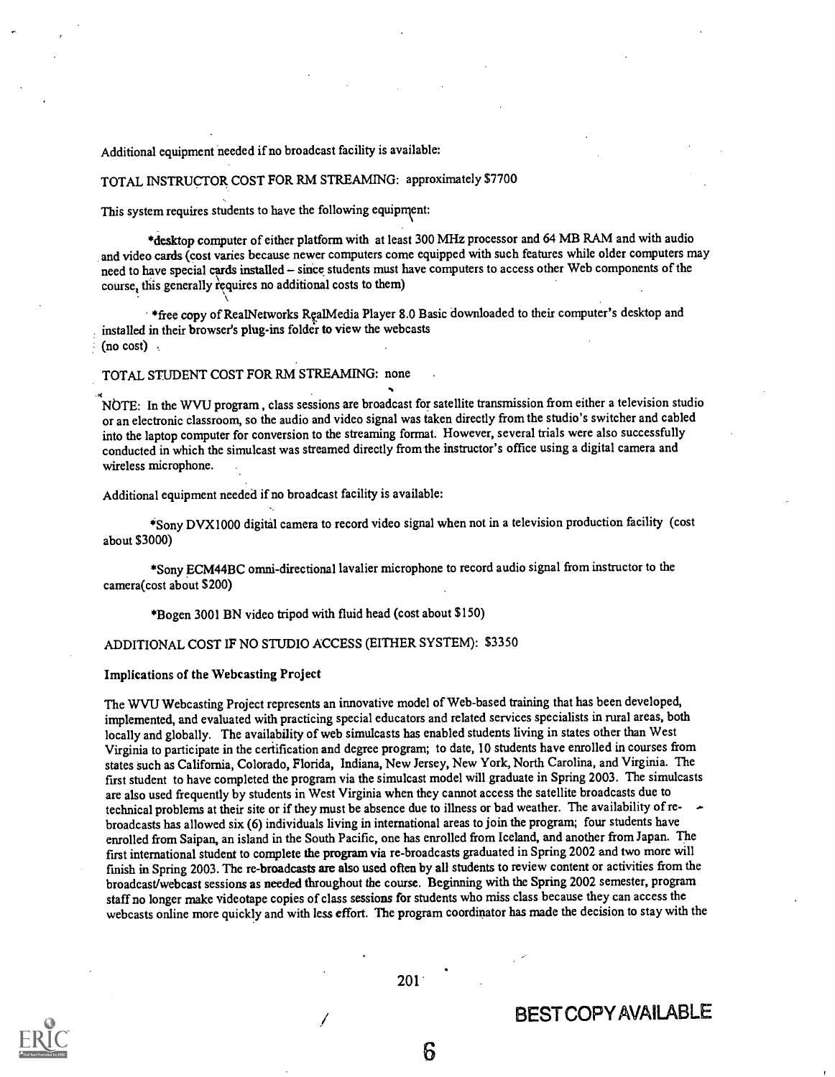Additional equipment needed if no broadcast facility is available:

TOTAL INSTRUCTOR. COST FOR RM STREAMING: approximately \$7700

This system requires students to have the following equipment:

\*desktop computer of either platform with at least 300 MHz processor and 64 MB RAM and with audio and video cards (cost varies because newer computers come equipped with such features while older computers may need to have special cards installed - since students must have computers to access other Web components of the course, this generally requires no additional costs to them)

\*free copy of RealNetworks RealMedia Player 8.0 Basic downloaded to their computer's desktop and installed in their browser's plug-ins folder to view the webcasts (no cost) .

## TOTAL STUDENT COST FOR RM STREAMING: none

NbTE: In the WVU program, class sessions are broadcast for satellite transmission from either a television studio or an electronic classroom, so the audio and video signal was taken directly from the studio's switcher and cabled into the laptop computer for conversion to the streaming format. However, several trials were also successfully conducted in which the simulcast was streamed directly from the instructor's office using a digital camera and wireless microphone.

Additional equipment needed if no broadcast facility is available:

\*Sony DVX1000 digital camera to record video signal when not in a television production facility (cost about \$3000)

\*Sony ECM44BC omni-directional lavalier microphone to record audio signal from instructor to the camera(cost about \$200)

\*Bogen 3001 BN video tripod with fluid head (cost about \$150)

# ADDITIONAL COST IF NO STUDIO ACCESS (EITHER SYSTEM): \$3350

#### Implications of the Webcasting Project

The WVU Webcasting Project represents an innovative model of Web-based training that has been developed, implemented, and evaluated with practicing special educators and related services specialists in rural areas, both locally and globally. The availability of web simulcasts has enabled students living in states other than West Virginia to participate in the certification and degree program; to date, 10 students have enrolled in courses from states such as California, Colorado, Florida, Indiana, New Jersey, New York, North Carolina, and Virginia. The first student to have completed the program via the simulcast model will graduate in Spring 2003. The simulcasts are also used frequently by students in West Virginia when they cannot access the satellite broadcasts due to technical problems at their site or if they must be absence due to illness or bad weather. The availability of rebroadcasts has allowed six (6) individuals living in international areas to join the program; four students have enrolled from Saipan, an island in the South Pacific, one has enrolled from Iceland, and another from Japan. The first international student to complete the program via re-broadcasts graduated in Spring 2002 and two more will finish in Spring 2003. The re-broadcasts are also used often by all students to review content or activities from the broadcast/webcast sessions as needed throughout the course. Beginning with the Spring 2002 semester, program staff no longer make videotape copies of class sessions for students who miss class because they can access the webcasts online more quickly and with less effort. The program coordinator has made the decision to stay with the



201

# BEST COPY AVAILABLE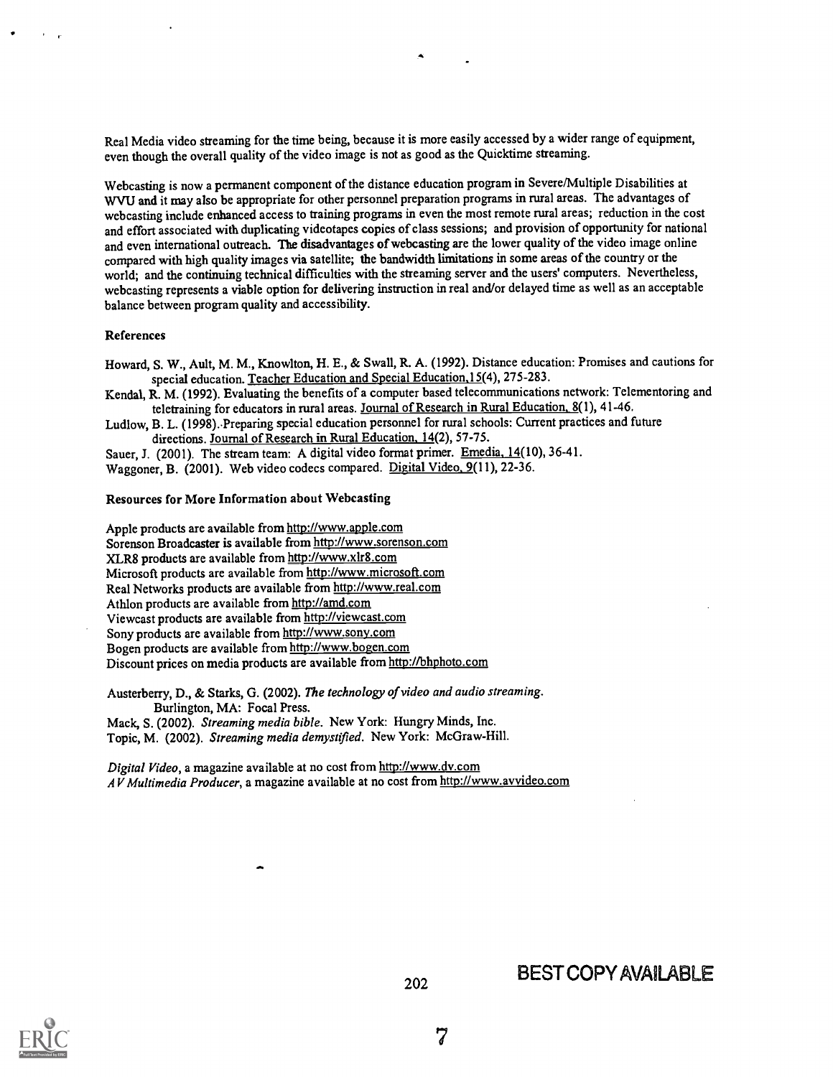Real Media video streaming for the time being, because it is more easily accessed by a wider range of equipment, even though the overall quality of the video image is not as good asthe Quicktime streaming.

Webcasting is now a permanent component of the distance education program in Severe/Multiple Disabilities at WVU and it may also be appropriate for other personnel preparation programs in rural areas. The advantages of webcasting include enhanced access to training programs in even the most remote rural areas; reduction in the cost and effort associated with duplicating videotapes copies of class sessions; and provision of opportunity for national and even international outreach. The disadvantages of webcasting are the lower quality of the video image online compared with high quality images via satellite; the bandwidth limitations in some areas of the country or the world; and the continuing technical difficulties with the streaming server and the users' computers. Nevertheless, webcasting represents a viable option for delivering instruction in real and/or delayed time as well as an acceptable balance between program quality and accessibility.

### References

Howard, S. W., Ault, M. M., Knowlton, H. E., & Swall, R. A. (1992). Distance education: Promises and cautions for special education. Teacher Education and Special Education, 15(4), 275-283.

Kendal, R. M. (1992). Evaluating the benefits of a computer based telecommunications network: Telementoring and teletraining for educators in rural areas. Journal of Research in Rural Education, 8(1), 41-46.

Ludlow, B. L. (1998). Preparing special education personnel for rural schools: Current practices and future directions. Journal of Research in Rural Education. 14(2), 57-75.

Sauer, J. (2001). The stream team: A digital video format primer. Emedia, 14(10), 36-41. Waggoner, B. (2001). Web video codecs compared. Digital Video. 9(11), 22-36.

# Resources for More Information about Webcasting

Apple products are available from http://www.apple.com Sorenson Broadcaster is available from http://www.sorenson.com XLR8 products are available from http://www.xlr8.com Microsoft products are available from http://www.microsoft.com Real Networks products are available from http://www.real.com Athlon products are available from http://amd.com Viewcast products are available from http://viewcast.com Sony products are available from http://www.sony.com Bogen products are available from http://www.bogen.com Discount prices on media products are available from http://bhphoto.com

Austerberry, D., & Starks, G. (2002). The technology of video and audio streaming. Burlington, MA: Focal Press.

Mack, S. (2002). Streaming media bible. New York: Hungry Minds, Inc. Topic, M. (2002). Streaming media demystified. New York: McGraw-Hill.

Digital Video, a magazine available at no cost from http://www.dv.com AV Multimedia Producer, a magazine available at no cost from http://www.avvideo.com



BEST COPY AVAILABLE

7

202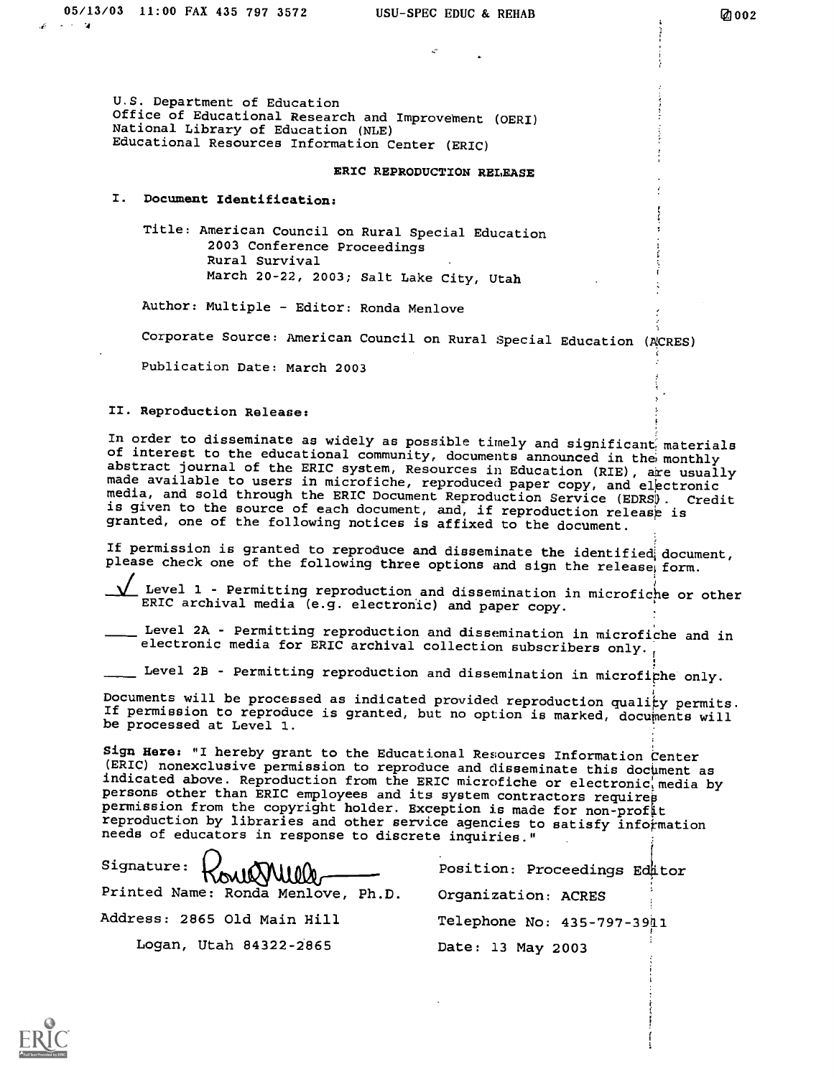U.S. Department of Education Office of Educational Research and Improvement (OERI) National Library of Education (NLE) Educational Resources Information Center (ERIC)

# ERIC REPRODUCTION RELEASE

# I. Document Identification:

Title: American Council on Rural Special Education 2003 Conference Proceedings Rural Survival March 20-22, 2003; Salt Lake City, Utah

Author: Multiple - Editor: Ronda Menlove

Corporate Source: American Council on Rural Special Education (ACRES)

Publication Date: March 2003

# II. Reproduction Release:

In order to disseminate as widely as possible timely and significant materials<br>of interest to the educational community, documents announced in the monthly<br>abstract journal of the ERIC system, Resources in Education (RIE), made available to users in microfiche, reproduced paper copy, and electronic media, and sold through the ERIC Document Reproduction Service (EDRS). Credit is given to the source of each document, and, if reproduction release is granted, one of the following notices is affixed to the document.

If permission is granted to reproduce and disseminate the identified document, please check one of the following three options and sign the release, form.

Level 1 - Permitting reproduction and dissemination in microfiche or other ERIC archival media (e.g. electronic) and paper copy.

Level 2A - Permitting reproduction and dissemination in microfiche and in electronic media for ERIC archival collection subscribers only.

Level 28 - Permitting reproduction and dissemination in microfiphe only.

Documents will be processed as indicated provided reproduction quality permits.<br>If permission to reproduce is granted, but no option is marked, documents will be processed at Level 1.

Sign Here: "I hereby grant to the Educational Resources Information Center (ERIC) nonexclusive permission to reproduce and disseminate this document as indicated above. Reproduction from the ERIC microfiche or electronic media by persons other than ERIC employees and its system contractors requires permission from the copyright holder. Exception is made for non-profit reproduction by libraries and other service agencies to satisfy information needs of educators in response to discrete inquiries."

Signature: Printed Name: Ronda Menlove, Ph.D. Address: 2865 Old Main Hill

Logan, Utah 84322-2865

Position: Proceedings Editor Organization: ACRES Telephone No: 435-797-3911 Date: 13 May 2003